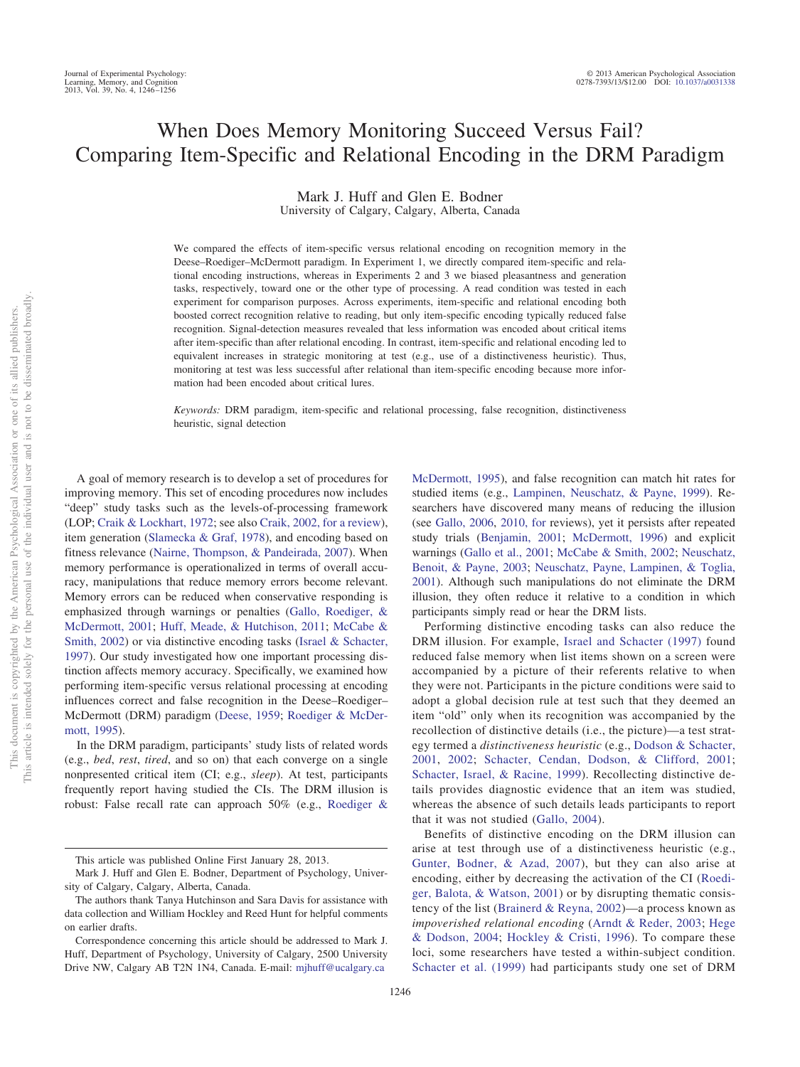# When Does Memory Monitoring Succeed Versus Fail? Comparing Item-Specific and Relational Encoding in the DRM Paradigm

Mark J. Huff and Glen E. Bodner University of Calgary, Calgary, Alberta, Canada

We compared the effects of item-specific versus relational encoding on recognition memory in the Deese–Roediger–McDermott paradigm. In Experiment 1, we directly compared item-specific and relational encoding instructions, whereas in Experiments 2 and 3 we biased pleasantness and generation tasks, respectively, toward one or the other type of processing. A read condition was tested in each experiment for comparison purposes. Across experiments, item-specific and relational encoding both boosted correct recognition relative to reading, but only item-specific encoding typically reduced false recognition. Signal-detection measures revealed that less information was encoded about critical items after item-specific than after relational encoding. In contrast, item-specific and relational encoding led to equivalent increases in strategic monitoring at test (e.g., use of a distinctiveness heuristic). Thus, monitoring at test was less successful after relational than item-specific encoding because more information had been encoded about critical lures.

*Keywords:* DRM paradigm, item-specific and relational processing, false recognition, distinctiveness heuristic, signal detection

A goal of memory research is to develop a set of procedures for improving memory. This set of encoding procedures now includes "deep" study tasks such as the levels-of-processing framework (LOP; [Craik & Lockhart, 1972;](#page-8-0) see also [Craik, 2002, for a review\)](#page-8-1), item generation [\(Slamecka & Graf, 1978\)](#page-9-0), and encoding based on fitness relevance [\(Nairne, Thompson, & Pandeirada, 2007\)](#page-9-1). When memory performance is operationalized in terms of overall accuracy, manipulations that reduce memory errors become relevant. Memory errors can be reduced when conservative responding is emphasized through warnings or penalties [\(Gallo, Roediger, &](#page-9-2) [McDermott, 2001;](#page-9-2) [Huff, Meade, & Hutchison, 2011;](#page-9-3) [McCabe &](#page-9-4) [Smith, 2002\)](#page-9-4) or via distinctive encoding tasks [\(Israel & Schacter,](#page-9-5) [1997\)](#page-9-5). Our study investigated how one important processing distinction affects memory accuracy. Specifically, we examined how performing item-specific versus relational processing at encoding influences correct and false recognition in the Deese–Roediger– McDermott (DRM) paradigm [\(Deese, 1959;](#page-8-2) [Roediger & McDer](#page-9-6)[mott, 1995\)](#page-9-6).

In the DRM paradigm, participants' study lists of related words (e.g., *bed*, *rest*, *tired*, and so on) that each converge on a single nonpresented critical item (CI; e.g., *sleep*). At test, participants frequently report having studied the CIs. The DRM illusion is robust: False recall rate can approach 50% (e.g., [Roediger &](#page-9-6)

Benefits of distinctive encoding on the DRM illusion can arise at test through use of a distinctiveness heuristic (e.g., [Gunter, Bodner, & Azad, 2007\)](#page-9-16), but they can also arise at encoding, either by decreasing the activation of the CI [\(Roedi-](#page-9-17)

that it was not studied [\(Gallo, 2004\)](#page-9-15).

participants simply read or hear the DRM lists.

[ger, Balota, & Watson, 2001\)](#page-9-17) or by disrupting thematic consistency of the list [\(Brainerd & Reyna, 2002\)](#page-8-6)—a process known as *impoverished relational encoding* [\(Arndt & Reder, 2003;](#page-8-7) [Hege](#page-9-18) [& Dodson, 2004;](#page-9-18) [Hockley & Cristi, 1996\)](#page-9-19). To compare these loci, some researchers have tested a within-subject condition. [Schacter et al. \(1999\)](#page-9-14) had participants study one set of DRM

[McDermott, 1995\)](#page-9-6), and false recognition can match hit rates for studied items (e.g., [Lampinen, Neuschatz, & Payne, 1999\)](#page-9-7). Researchers have discovered many means of reducing the illusion (see [Gallo, 2006,](#page-9-8) [2010, for](#page-9-9) reviews), yet it persists after repeated study trials [\(Benjamin, 2001;](#page-8-3) [McDermott, 1996\)](#page-9-10) and explicit warnings [\(Gallo et al., 2001;](#page-9-2) [McCabe & Smith, 2002;](#page-9-4) [Neuschatz,](#page-9-11) [Benoit, & Payne, 2003;](#page-9-11) [Neuschatz, Payne, Lampinen, & Toglia,](#page-9-12) [2001\)](#page-9-12). Although such manipulations do not eliminate the DRM illusion, they often reduce it relative to a condition in which

Performing distinctive encoding tasks can also reduce the DRM illusion. For example, [Israel and Schacter \(1997\)](#page-9-5) found reduced false memory when list items shown on a screen were accompanied by a picture of their referents relative to when they were not. Participants in the picture conditions were said to adopt a global decision rule at test such that they deemed an item "old" only when its recognition was accompanied by the recollection of distinctive details (i.e., the picture)—a test strategy termed a *distinctiveness heuristic* (e.g., [Dodson & Schacter,](#page-8-4) [2001,](#page-8-4) [2002;](#page-8-5) [Schacter, Cendan, Dodson, & Clifford, 2001;](#page-9-13) [Schacter, Israel, & Racine, 1999\)](#page-9-14). Recollecting distinctive details provides diagnostic evidence that an item was studied, whereas the absence of such details leads participants to report

This article was published Online First January 28, 2013.

Mark J. Huff and Glen E. Bodner, Department of Psychology, University of Calgary, Calgary, Alberta, Canada.

The authors thank Tanya Hutchinson and Sara Davis for assistance with data collection and William Hockley and Reed Hunt for helpful comments on earlier drafts.

Correspondence concerning this article should be addressed to Mark J. Huff, Department of Psychology, University of Calgary, 2500 University Drive NW, Calgary AB T2N 1N4, Canada. E-mail: [mjhuff@ucalgary.ca](mailto:mjhuff@ucalgary.ca)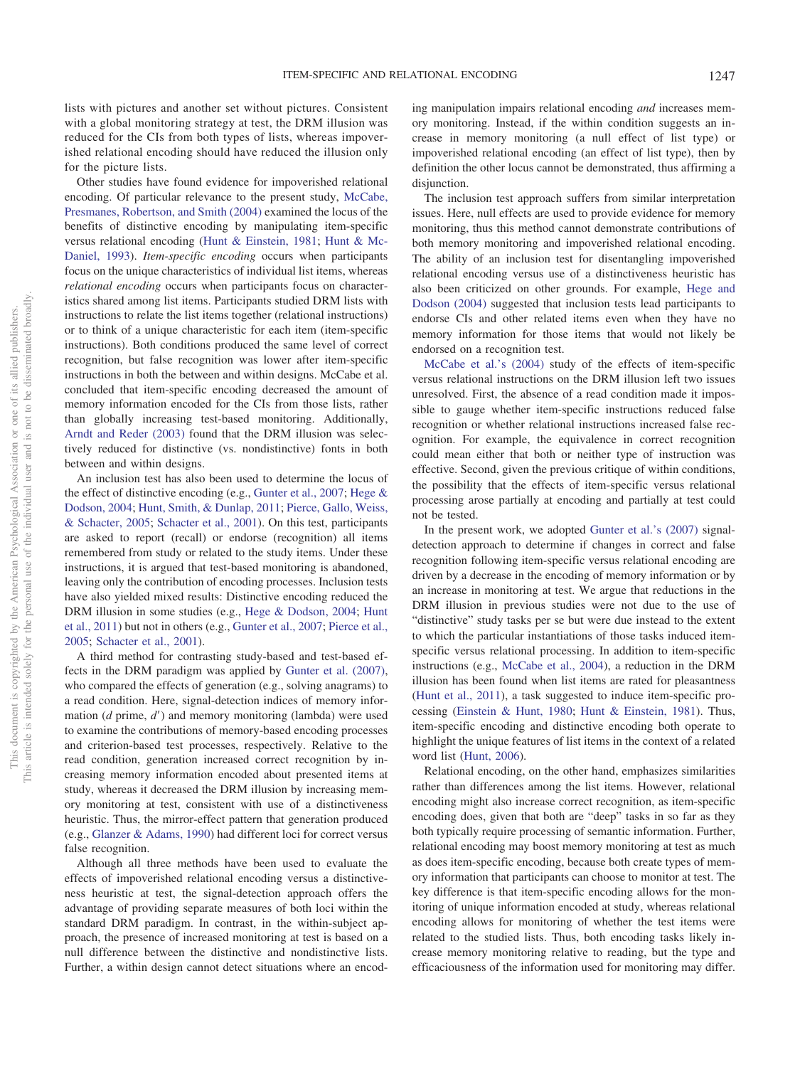lists with pictures and another set without pictures. Consistent with a global monitoring strategy at test, the DRM illusion was reduced for the CIs from both types of lists, whereas impoverished relational encoding should have reduced the illusion only for the picture lists.

Other studies have found evidence for impoverished relational encoding. Of particular relevance to the present study, [McCabe,](#page-9-20) [Presmanes, Robertson, and Smith \(2004\)](#page-9-20) examined the locus of the benefits of distinctive encoding by manipulating item-specific versus relational encoding [\(Hunt & Einstein, 1981;](#page-9-21) [Hunt & Mc-](#page-9-22)[Daniel, 1993\)](#page-9-22). *Item-specific encoding* occurs when participants focus on the unique characteristics of individual list items, whereas *relational encoding* occurs when participants focus on characteristics shared among list items. Participants studied DRM lists with instructions to relate the list items together (relational instructions) or to think of a unique characteristic for each item (item-specific instructions). Both conditions produced the same level of correct recognition, but false recognition was lower after item-specific instructions in both the between and within designs. McCabe et al. concluded that item-specific encoding decreased the amount of memory information encoded for the CIs from those lists, rather than globally increasing test-based monitoring. Additionally, [Arndt and Reder \(2003\)](#page-8-7) found that the DRM illusion was selectively reduced for distinctive (vs. nondistinctive) fonts in both between and within designs.

An inclusion test has also been used to determine the locus of the effect of distinctive encoding (e.g., [Gunter et al., 2007;](#page-9-16) [Hege &](#page-9-18) [Dodson, 2004;](#page-9-18) [Hunt, Smith, & Dunlap, 2011;](#page-9-23) [Pierce, Gallo, Weiss,](#page-9-24) [& Schacter, 2005;](#page-9-24) [Schacter et al., 2001\)](#page-9-13). On this test, participants are asked to report (recall) or endorse (recognition) all items remembered from study or related to the study items. Under these instructions, it is argued that test-based monitoring is abandoned, leaving only the contribution of encoding processes. Inclusion tests have also yielded mixed results: Distinctive encoding reduced the DRM illusion in some studies (e.g., [Hege & Dodson, 2004;](#page-9-18) [Hunt](#page-9-23) [et al., 2011\)](#page-9-23) but not in others (e.g., [Gunter et al., 2007;](#page-9-16) [Pierce et al.,](#page-9-24) [2005;](#page-9-24) [Schacter et al., 2001\)](#page-9-13).

A third method for contrasting study-based and test-based effects in the DRM paradigm was applied by [Gunter et al. \(2007\),](#page-9-16) who compared the effects of generation (e.g., solving anagrams) to a read condition. Here, signal-detection indices of memory information  $(d \text{ prime}, d')$  and memory monitoring (lambda) were used to examine the contributions of memory-based encoding processes and criterion-based test processes, respectively. Relative to the read condition, generation increased correct recognition by increasing memory information encoded about presented items at study, whereas it decreased the DRM illusion by increasing memory monitoring at test, consistent with use of a distinctiveness heuristic. Thus, the mirror-effect pattern that generation produced (e.g., [Glanzer & Adams, 1990\)](#page-9-25) had different loci for correct versus false recognition.

Although all three methods have been used to evaluate the effects of impoverished relational encoding versus a distinctiveness heuristic at test, the signal-detection approach offers the advantage of providing separate measures of both loci within the standard DRM paradigm. In contrast, in the within-subject approach, the presence of increased monitoring at test is based on a null difference between the distinctive and nondistinctive lists. Further, a within design cannot detect situations where an encoding manipulation impairs relational encoding *and* increases memory monitoring. Instead, if the within condition suggests an increase in memory monitoring (a null effect of list type) or impoverished relational encoding (an effect of list type), then by definition the other locus cannot be demonstrated, thus affirming a disjunction.

The inclusion test approach suffers from similar interpretation issues. Here, null effects are used to provide evidence for memory monitoring, thus this method cannot demonstrate contributions of both memory monitoring and impoverished relational encoding. The ability of an inclusion test for disentangling impoverished relational encoding versus use of a distinctiveness heuristic has also been criticized on other grounds. For example, [Hege and](#page-9-18) [Dodson \(2004\)](#page-9-18) suggested that inclusion tests lead participants to endorse CIs and other related items even when they have no memory information for those items that would not likely be endorsed on a recognition test.

[McCabe et al.'s \(2004\)](#page-9-20) study of the effects of item-specific versus relational instructions on the DRM illusion left two issues unresolved. First, the absence of a read condition made it impossible to gauge whether item-specific instructions reduced false recognition or whether relational instructions increased false recognition. For example, the equivalence in correct recognition could mean either that both or neither type of instruction was effective. Second, given the previous critique of within conditions, the possibility that the effects of item-specific versus relational processing arose partially at encoding and partially at test could not be tested.

In the present work, we adopted [Gunter et al.'s \(2007\)](#page-9-16) signaldetection approach to determine if changes in correct and false recognition following item-specific versus relational encoding are driven by a decrease in the encoding of memory information or by an increase in monitoring at test. We argue that reductions in the DRM illusion in previous studies were not due to the use of "distinctive" study tasks per se but were due instead to the extent to which the particular instantiations of those tasks induced itemspecific versus relational processing. In addition to item-specific instructions (e.g., [McCabe et al., 2004\)](#page-9-20), a reduction in the DRM illusion has been found when list items are rated for pleasantness [\(Hunt et al., 2011\)](#page-9-23), a task suggested to induce item-specific processing [\(Einstein & Hunt, 1980;](#page-8-8) [Hunt & Einstein, 1981\)](#page-9-21). Thus, item-specific encoding and distinctive encoding both operate to highlight the unique features of list items in the context of a related word list [\(Hunt, 2006\)](#page-9-26).

Relational encoding, on the other hand, emphasizes similarities rather than differences among the list items. However, relational encoding might also increase correct recognition, as item-specific encoding does, given that both are "deep" tasks in so far as they both typically require processing of semantic information. Further, relational encoding may boost memory monitoring at test as much as does item-specific encoding, because both create types of memory information that participants can choose to monitor at test. The key difference is that item-specific encoding allows for the monitoring of unique information encoded at study, whereas relational encoding allows for monitoring of whether the test items were related to the studied lists. Thus, both encoding tasks likely increase memory monitoring relative to reading, but the type and efficaciousness of the information used for monitoring may differ.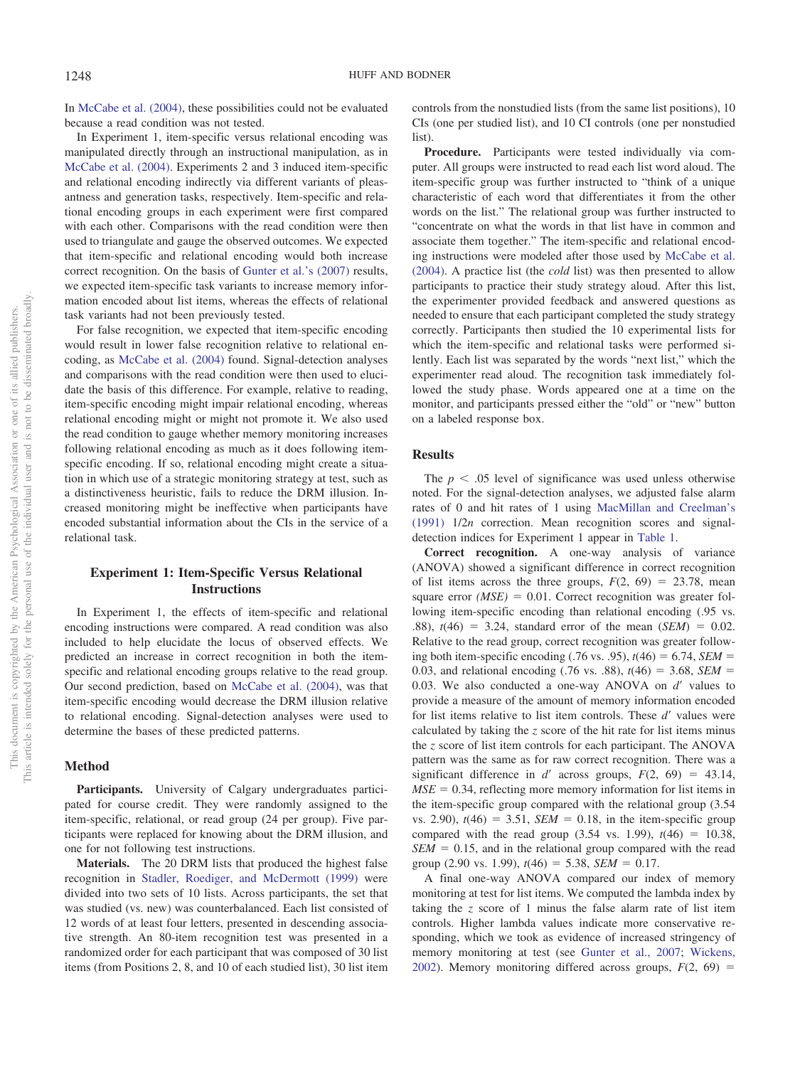In [McCabe et al. \(2004\),](#page-9-20) these possibilities could not be evaluated because a read condition was not tested.

In Experiment 1, item-specific versus relational encoding was manipulated directly through an instructional manipulation, as in [McCabe et al. \(2004\).](#page-9-20) Experiments 2 and 3 induced item-specific and relational encoding indirectly via different variants of pleasantness and generation tasks, respectively. Item-specific and relational encoding groups in each experiment were first compared with each other. Comparisons with the read condition were then used to triangulate and gauge the observed outcomes. We expected that item-specific and relational encoding would both increase correct recognition. On the basis of [Gunter et al.'s \(2007\)](#page-9-16) results, we expected item-specific task variants to increase memory information encoded about list items, whereas the effects of relational task variants had not been previously tested.

For false recognition, we expected that item-specific encoding would result in lower false recognition relative to relational encoding, as [McCabe et al. \(2004\)](#page-9-20) found. Signal-detection analyses and comparisons with the read condition were then used to elucidate the basis of this difference. For example, relative to reading, item-specific encoding might impair relational encoding, whereas relational encoding might or might not promote it. We also used the read condition to gauge whether memory monitoring increases following relational encoding as much as it does following itemspecific encoding. If so, relational encoding might create a situation in which use of a strategic monitoring strategy at test, such as a distinctiveness heuristic, fails to reduce the DRM illusion. Increased monitoring might be ineffective when participants have encoded substantial information about the CIs in the service of a relational task.

# **Experiment 1: Item-Specific Versus Relational Instructions**

In Experiment 1, the effects of item-specific and relational encoding instructions were compared. A read condition was also included to help elucidate the locus of observed effects. We predicted an increase in correct recognition in both the itemspecific and relational encoding groups relative to the read group. Our second prediction, based on [McCabe et al. \(2004\),](#page-9-20) was that item-specific encoding would decrease the DRM illusion relative to relational encoding. Signal-detection analyses were used to determine the bases of these predicted patterns.

#### **Method**

Participants. University of Calgary undergraduates participated for course credit. They were randomly assigned to the item-specific, relational, or read group (24 per group). Five participants were replaced for knowing about the DRM illusion, and one for not following test instructions.

**Materials.** The 20 DRM lists that produced the highest false recognition in [Stadler, Roediger, and McDermott \(1999\)](#page-9-27) were divided into two sets of 10 lists. Across participants, the set that was studied (vs. new) was counterbalanced. Each list consisted of 12 words of at least four letters, presented in descending associative strength. An 80-item recognition test was presented in a randomized order for each participant that was composed of 30 list items (from Positions 2, 8, and 10 of each studied list), 30 list item controls from the nonstudied lists (from the same list positions), 10 CIs (one per studied list), and 10 CI controls (one per nonstudied list).

**Procedure.** Participants were tested individually via computer. All groups were instructed to read each list word aloud. The item-specific group was further instructed to "think of a unique characteristic of each word that differentiates it from the other words on the list." The relational group was further instructed to "concentrate on what the words in that list have in common and associate them together." The item-specific and relational encoding instructions were modeled after those used by [McCabe et al.](#page-9-20) [\(2004\).](#page-9-20) A practice list (the *cold* list) was then presented to allow participants to practice their study strategy aloud. After this list, the experimenter provided feedback and answered questions as needed to ensure that each participant completed the study strategy correctly. Participants then studied the 10 experimental lists for which the item-specific and relational tasks were performed silently. Each list was separated by the words "next list," which the experimenter read aloud. The recognition task immediately followed the study phase. Words appeared one at a time on the monitor, and participants pressed either the "old" or "new" button on a labeled response box.

# **Results**

The  $p < .05$  level of significance was used unless otherwise noted. For the signal-detection analyses, we adjusted false alarm rates of 0 and hit rates of 1 using [MacMillan and Creelman's](#page-9-28) [\(1991\)](#page-9-28) 1/2*n* correction. Mean recognition scores and signaldetection indices for Experiment 1 appear in [Table 1.](#page-3-0)

**Correct recognition.** A one-way analysis of variance (ANOVA) showed a significant difference in correct recognition of list items across the three groups,  $F(2, 69) = 23.78$ , mean square error  $(MSE) = 0.01$ . Correct recognition was greater following item-specific encoding than relational encoding (.95 vs.  $.88$ ),  $t(46) = 3.24$ , standard error of the mean (*SEM*) = 0.02. Relative to the read group, correct recognition was greater following both item-specific encoding  $(.76 \text{ vs. } .95)$ ,  $t(46) = 6.74$ , *SEM* = 0.03, and relational encoding (.76 vs. .88),  $t(46) = 3.68$ , *SEM* = 0.03. We also conducted a one-way ANOVA on *d'* values to provide a measure of the amount of memory information encoded for list items relative to list item controls. These d'values were calculated by taking the *z* score of the hit rate for list items minus the *z* score of list item controls for each participant. The ANOVA pattern was the same as for raw correct recognition. There was a significant difference in  $d'$  across groups,  $F(2, 69) = 43.14$ ,  $MSE = 0.34$ , reflecting more memory information for list items in the item-specific group compared with the relational group (3.54  $vs. 2.90$ ,  $t(46) = 3.51$ ,  $SEM = 0.18$ , in the item-specific group compared with the read group  $(3.54 \text{ vs. } 1.99)$ ,  $t(46) = 10.38$ ,  $SEM = 0.15$ , and in the relational group compared with the read group  $(2.90 \text{ vs. } 1.99)$ ,  $t(46) = 5.38$ , *SEM* = 0.17.

A final one-way ANOVA compared our index of memory monitoring at test for list items. We computed the lambda index by taking the *z* score of 1 minus the false alarm rate of list item controls. Higher lambda values indicate more conservative responding, which we took as evidence of increased stringency of memory monitoring at test (see [Gunter et al., 2007;](#page-9-16) [Wickens,](#page-10-0) [2002\)](#page-10-0). Memory monitoring differed across groups,  $F(2, 69) =$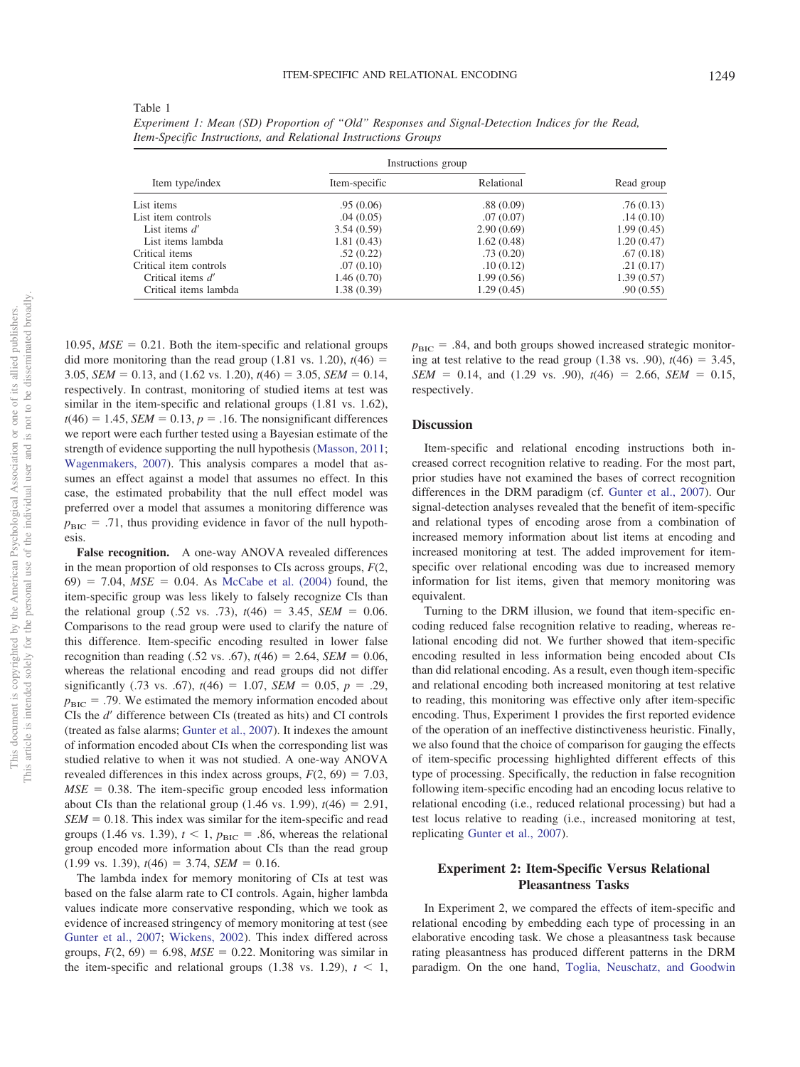<span id="page-3-0"></span>

| Item type/index        | Instructions group |            |            |  |
|------------------------|--------------------|------------|------------|--|
|                        | Item-specific      | Relational | Read group |  |
| List items             | .95(0.06)          | .88(0.09)  | .76(0.13)  |  |
| List item controls     | .04(0.05)          | .07(0.07)  | .14(0.10)  |  |
| List items $d'$        | 3.54(0.59)         | 2.90(0.69) | 1.99(0.45) |  |
| List items lambda      | 1.81(0.43)         | 1.62(0.48) | 1.20(0.47) |  |
| Critical items         | .52(0.22)          | .73(0.20)  | .67(0.18)  |  |
| Critical item controls | .07(0.10)          | .10(0.12)  | .21(0.17)  |  |
| Critical items d'      | 1.46(0.70)         | 1.99(0.56) | 1.39(0.57) |  |
| Critical items lambda  | 1.38 (0.39)        | 1.29(0.45) | .90(0.55)  |  |

*Experiment 1: Mean (SD) Proportion of "Old" Responses and Signal-Detection Indices for the Read, Item-Specific Instructions, and Relational Instructions Groups*

 $10.95$ ,  $MSE = 0.21$ . Both the item-specific and relational groups did more monitoring than the read group  $(1.81 \text{ vs. } 1.20)$ ,  $t(46) =$ 3.05, *SEM* = 0.13, and (1.62 vs. 1.20),  $t(46) = 3.05$ , *SEM* = 0.14, respectively. In contrast, monitoring of studied items at test was similar in the item-specific and relational groups  $(1.81 \text{ vs. } 1.62)$ ,  $t(46) = 1.45$ , *SEM* = 0.13,  $p = .16$ . The nonsignificant differences we report were each further tested using a Bayesian estimate of the strength of evidence supporting the null hypothesis [\(Masson, 2011;](#page-9-29) [Wagenmakers, 2007\)](#page-10-1). This analysis compares a model that assumes an effect against a model that assumes no effect. In this case, the estimated probability that the null effect model was preferred over a model that assumes a monitoring difference was  $p_{\text{BIC}}$  $=$  .71, thus providing evidence in favor of the null hypothesis.

**False recognition.** A one-way ANOVA revealed differences in the mean proportion of old responses to CIs across groups, *F*(2,  $(69) = 7.04$ ,  $MSE = 0.04$ . As McCabe et al.  $(2004)$  found, the item-specific group was less likely to falsely recognize CIs than the relational group (.52 vs. .73),  $t(46) = 3.45$ , *SEM* = 0.06. Comparisons to the read group were used to clarify the nature of this difference. Item-specific encoding resulted in lower false recognition than reading (.52 vs. .67),  $t(46) = 2.64$ , *SEM* = 0.06, whereas the relational encoding and read groups did not differ significantly (.73 vs. .67),  $t(46) = 1.07$ ,  $SEM = 0.05$ ,  $p = .29$ ,  $p_{\text{BIC}} = .79$ . We estimated the memory information encoded about CIs the *d'* difference between CIs (treated as hits) and CI controls (treated as false alarms; [Gunter et al., 2007\)](#page-9-16). It indexes the amount of information encoded about CIs when the corresponding list was studied relative to when it was not studied. A one-way ANOVA revealed differences in this index across groups,  $F(2, 69) = 7.03$ ,  $MSE = 0.38$ . The item-specific group encoded less information about CIs than the relational group  $(1.46 \text{ vs. } 1.99)$ ,  $t(46) = 2.91$ ,  $SEM = 0.18$ . This index was similar for the item-specific and read groups (1.46 vs. 1.39),  $t < 1$ ,  $p_{\text{BIC}} = .86$ , whereas the relational group encoded more information about CIs than the read group  $(1.99 \text{ vs. } 1.39), t(46) = 3.74, \text{ SEM} = 0.16.$ 

The lambda index for memory monitoring of CIs at test was based on the false alarm rate to CI controls. Again, higher lambda values indicate more conservative responding, which we took as evidence of increased stringency of memory monitoring at test (see [Gunter et al., 2007;](#page-9-16) [Wickens, 2002\)](#page-10-0). This index differed across groups,  $F(2, 69) = 6.98$ ,  $MSE = 0.22$ . Monitoring was similar in the item-specific and relational groups  $(1.38 \text{ vs. } 1.29)$ ,  $t < 1$ ,

 $p_{\text{BIC}} = .84$ , and both groups showed increased strategic monitoring at test relative to the read group  $(1.38 \text{ vs. } .90)$ ,  $t(46) = 3.45$ ,  $SEM = 0.14$ , and (1.29 vs. .90),  $t(46) = 2.66$ , *SEM* = 0.15, respectively.

#### **Discussion**

Item-specific and relational encoding instructions both increased correct recognition relative to reading. For the most part, prior studies have not examined the bases of correct recognition differences in the DRM paradigm (cf. [Gunter et al., 2007\)](#page-9-16). Our signal-detection analyses revealed that the benefit of item-specific and relational types of encoding arose from a combination of increased memory information about list items at encoding and increased monitoring at test. The added improvement for itemspecific over relational encoding was due to increased memory information for list items, given that memory monitoring was equivalent.

Turning to the DRM illusion, we found that item-specific encoding reduced false recognition relative to reading, whereas relational encoding did not. We further showed that item-specific encoding resulted in less information being encoded about CIs than did relational encoding. As a result, even though item-specific and relational encoding both increased monitoring at test relative to reading, this monitoring was effective only after item-specific encoding. Thus, Experiment 1 provides the first reported evidence of the operation of an ineffective distinctiveness heuristic. Finally, we also found that the choice of comparison for gauging the effects of item-specific processing highlighted different effects of this type of processing. Specifically, the reduction in false recognition following item-specific encoding had an encoding locus relative to relational encoding (i.e., reduced relational processing) but had a test locus relative to reading (i.e., increased monitoring at test, replicating [Gunter et al., 2007\)](#page-9-16).

# **Experiment 2: Item-Specific Versus Relational Pleasantness Tasks**

In Experiment 2, we compared the effects of item-specific and relational encoding by embedding each type of processing in an elaborative encoding task. We chose a pleasantness task because rating pleasantness has produced different patterns in the DRM paradigm. On the one hand, [Toglia, Neuschatz, and Goodwin](#page-9-30)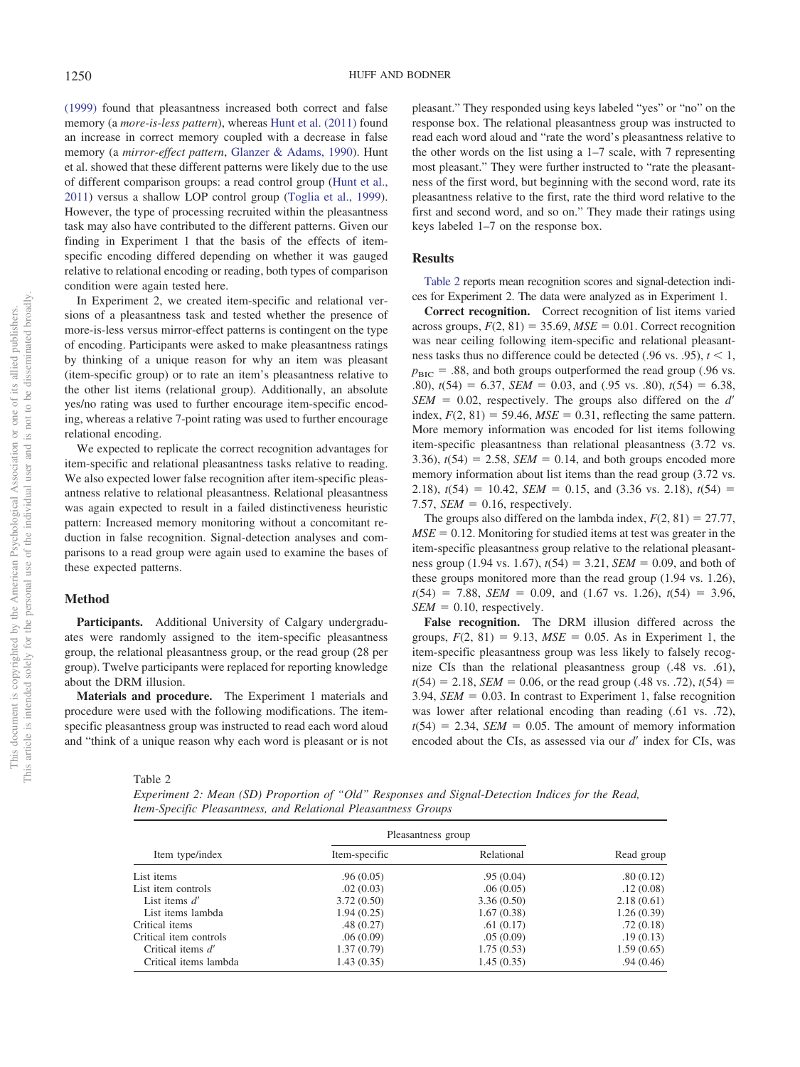[\(1999\)](#page-9-30) found that pleasantness increased both correct and false memory (a *more-is-less pattern*), whereas [Hunt et al. \(2011\)](#page-9-23) found an increase in correct memory coupled with a decrease in false memory (a *mirror-effect pattern*, [Glanzer & Adams, 1990\)](#page-9-25). Hunt et al. showed that these different patterns were likely due to the use of different comparison groups: a read control group [\(Hunt et al.,](#page-9-23) [2011\)](#page-9-23) versus a shallow LOP control group [\(Toglia et al., 1999\)](#page-9-30). However, the type of processing recruited within the pleasantness task may also have contributed to the different patterns. Given our finding in Experiment 1 that the basis of the effects of itemspecific encoding differed depending on whether it was gauged relative to relational encoding or reading, both types of comparison condition were again tested here.

In Experiment 2, we created item-specific and relational versions of a pleasantness task and tested whether the presence of more-is-less versus mirror-effect patterns is contingent on the type of encoding. Participants were asked to make pleasantness ratings by thinking of a unique reason for why an item was pleasant (item-specific group) or to rate an item's pleasantness relative to the other list items (relational group). Additionally, an absolute yes/no rating was used to further encourage item-specific encoding, whereas a relative 7-point rating was used to further encourage relational encoding.

We expected to replicate the correct recognition advantages for item-specific and relational pleasantness tasks relative to reading. We also expected lower false recognition after item-specific pleasantness relative to relational pleasantness. Relational pleasantness was again expected to result in a failed distinctiveness heuristic pattern: Increased memory monitoring without a concomitant reduction in false recognition. Signal-detection analyses and comparisons to a read group were again used to examine the bases of these expected patterns.

### **Method**

**Participants.** Additional University of Calgary undergraduates were randomly assigned to the item-specific pleasantness group, the relational pleasantness group, or the read group (28 per group). Twelve participants were replaced for reporting knowledge about the DRM illusion.

**Materials and procedure.** The Experiment 1 materials and procedure were used with the following modifications. The itemspecific pleasantness group was instructed to read each word aloud and "think of a unique reason why each word is pleasant or is not

<span id="page-4-0"></span>Table 2

Critical items lambda

*Experiment 2: Mean (SD) Proportion of "Old" Responses and Signal-Detection Indices for the Read, Item-Specific Pleasantness, and Relational Pleasantness Groups*

| Experiment 2: Mean (SD) Proportion of "Old" Responses and Signal-Detection Indices for the Read,<br>Item-Specific Pleasantness, and Relational Pleasantness Groups |                    |            |            |  |  |
|--------------------------------------------------------------------------------------------------------------------------------------------------------------------|--------------------|------------|------------|--|--|
| Item type/index                                                                                                                                                    | Pleasantness group |            |            |  |  |
|                                                                                                                                                                    | Item-specific      | Relational | Read group |  |  |
| List items                                                                                                                                                         | .96(0.05)          | .95(0.04)  | .80(0.12)  |  |  |
| List item controls                                                                                                                                                 | .02(0.03)          | .06(0.05)  | .12(0.08)  |  |  |
| List items $d'$                                                                                                                                                    | 3.72(0.50)         | 3.36(0.50) | 2.18(0.61) |  |  |
| List items lambda                                                                                                                                                  | 1.94(0.25)         | 1.67(0.38) | 1.26(0.39) |  |  |
| Critical items                                                                                                                                                     | .48(0.27)          | .61(0.17)  | .72(0.18)  |  |  |
| Critical item controls                                                                                                                                             | .06(0.09)          | .05(0.09)  | .19(0.13)  |  |  |

Critical items *d'* 1.37 (0.79) 1.75 (0.53) 1.59 (0.65) 1.59 (0.65) 1.59 (0.65) 1.59 (0.65)

pleasant." They responded using keys labeled "yes" or "no" on the response box. The relational pleasantness group was instructed to read each word aloud and "rate the word's pleasantness relative to the other words on the list using a 1–7 scale, with 7 representing most pleasant." They were further instructed to "rate the pleasantness of the first word, but beginning with the second word, rate its pleasantness relative to the first, rate the third word relative to the first and second word, and so on." They made their ratings using keys labeled 1–7 on the response box.

#### **Results**

[Table 2](#page-4-0) reports mean recognition scores and signal-detection indices for Experiment 2. The data were analyzed as in Experiment 1.

**Correct recognition.** Correct recognition of list items varied across groups,  $F(2, 81) = 35.69$ ,  $MSE = 0.01$ . Correct recognition was near ceiling following item-specific and relational pleasantness tasks thus no difference could be detected (.96 vs. .95),  $t < 1$ ,  $p_{\text{BIC}} = .88$ , and both groups outperformed the read group (.96 vs. .80),  $t(54) = 6.37$ , *SEM* = 0.03, and (.95 vs. .80),  $t(54) = 6.38$ , *SEM* = 0.02, respectively. The groups also differed on the *d'* index,  $F(2, 81) = 59.46$ ,  $MSE = 0.31$ , reflecting the same pattern. More memory information was encoded for list items following item-specific pleasantness than relational pleasantness (3.72 vs. 3.36),  $t(54) = 2.58$ ,  $SEM = 0.14$ , and both groups encoded more memory information about list items than the read group (3.72 vs. 2.18),  $t(54) = 10.42$ , *SEM* = 0.15, and (3.36 vs. 2.18),  $t(54) =$ 7.57,  $SEM = 0.16$ , respectively.

The groups also differed on the lambda index,  $F(2, 81) = 27.77$ ,  $MSE = 0.12$ . Monitoring for studied items at test was greater in the item-specific pleasantness group relative to the relational pleasantness group  $(1.94 \text{ vs. } 1.67)$ ,  $t(54) = 3.21$ , *SEM* = 0.09, and both of these groups monitored more than the read group (1.94 vs. 1.26),  $t(54) = 7.88$ , *SEM* = 0.09, and (1.67 vs. 1.26),  $t(54) = 3.96$ ,  $SEM = 0.10$ , respectively.

**False recognition.** The DRM illusion differed across the groups,  $F(2, 81) = 9.13$ ,  $MSE = 0.05$ . As in Experiment 1, the item-specific pleasantness group was less likely to falsely recognize CIs than the relational pleasantness group (.48 vs. .61),  $t(54) = 2.18$ , *SEM* = 0.06, or the read group (.48 vs. .72),  $t(54) =$ 3.94,  $SEM = 0.03$ . In contrast to Experiment 1, false recognition was lower after relational encoding than reading (.61 vs. .72),  $t(54) = 2.34$ , *SEM* = 0.05. The amount of memory information encoded about the CIs, as assessed via our *d'* index for CIs, was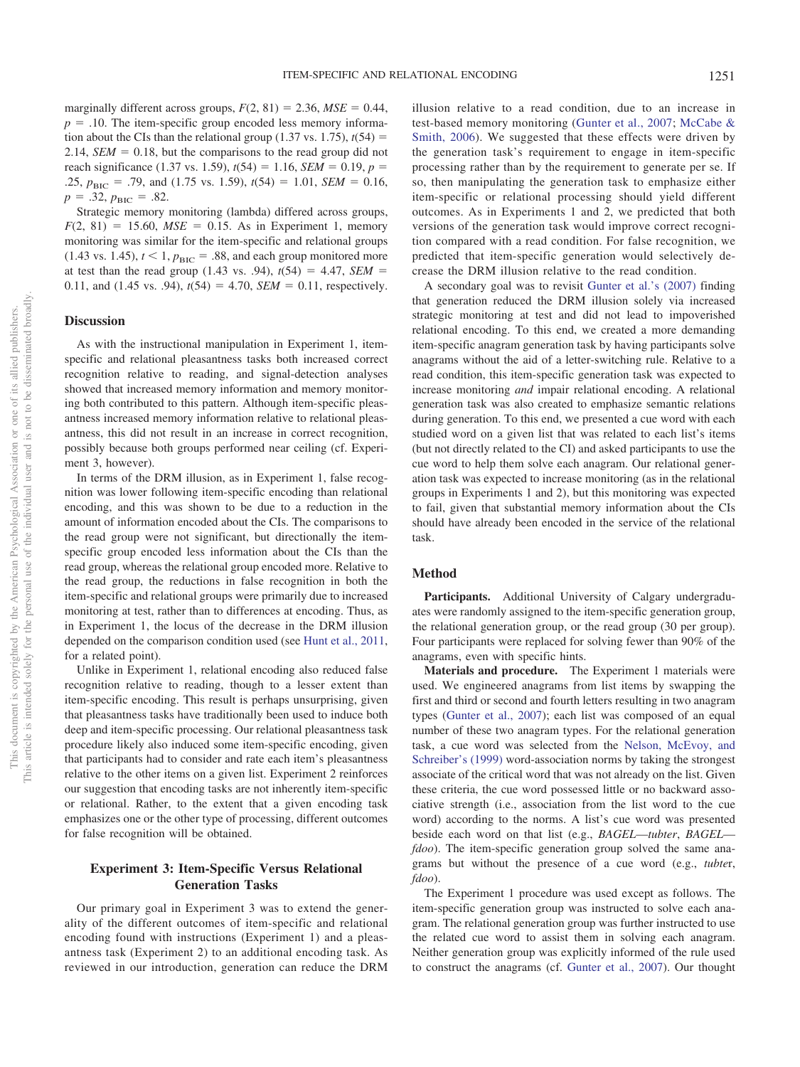marginally different across groups,  $F(2, 81) = 2.36$ ,  $MSE = 0.44$ ,  $p = 0.10$ . The item-specific group encoded less memory information about the CIs than the relational group  $(1.37 \text{ vs. } 1.75)$ ,  $t(54) =$ 2.14,  $SEM = 0.18$ , but the comparisons to the read group did not reach significance (1.37 vs. 1.59),  $t(54) = 1.16$ , *SEM* = 0.19,  $p =$ .25,  $p_{\text{BIC}} = .79$ , and (1.75 vs. 1.59),  $t(54) = 1.01$ , *SEM* = 0.16,  $p = .32, p_{\text{BIC}} = .82.$ 

Strategic memory monitoring (lambda) differed across groups,  $F(2, 81) = 15.60, MSE = 0.15.$  As in Experiment 1, memory monitoring was similar for the item-specific and relational groups  $(1.43 \text{ vs. } 1.45)$ ,  $t < 1$ ,  $p_{\text{BIC}} = .88$ , and each group monitored more at test than the read group  $(1.43 \text{ vs. } .94)$ ,  $t(54) = 4.47$ , *SEM* = 0.11, and (1.45 vs. .94),  $t(54) = 4.70$ , *SEM* = 0.11, respectively.

# **Discussion**

As with the instructional manipulation in Experiment 1, itemspecific and relational pleasantness tasks both increased correct recognition relative to reading, and signal-detection analyses showed that increased memory information and memory monitoring both contributed to this pattern. Although item-specific pleasantness increased memory information relative to relational pleasantness, this did not result in an increase in correct recognition, possibly because both groups performed near ceiling (cf. Experiment 3, however).

In terms of the DRM illusion, as in Experiment 1, false recognition was lower following item-specific encoding than relational encoding, and this was shown to be due to a reduction in the amount of information encoded about the CIs. The comparisons to the read group were not significant, but directionally the itemspecific group encoded less information about the CIs than the read group, whereas the relational group encoded more. Relative to the read group, the reductions in false recognition in both the item-specific and relational groups were primarily due to increased monitoring at test, rather than to differences at encoding. Thus, as in Experiment 1, the locus of the decrease in the DRM illusion depended on the comparison condition used (see [Hunt et al., 2011,](#page-9-23) for a related point).

Unlike in Experiment 1, relational encoding also reduced false recognition relative to reading, though to a lesser extent than item-specific encoding. This result is perhaps unsurprising, given that pleasantness tasks have traditionally been used to induce both deep and item-specific processing. Our relational pleasantness task procedure likely also induced some item-specific encoding, given that participants had to consider and rate each item's pleasantness relative to the other items on a given list. Experiment 2 reinforces our suggestion that encoding tasks are not inherently item-specific or relational. Rather, to the extent that a given encoding task emphasizes one or the other type of processing, different outcomes for false recognition will be obtained.

# **Experiment 3: Item-Specific Versus Relational Generation Tasks**

Our primary goal in Experiment 3 was to extend the generality of the different outcomes of item-specific and relational encoding found with instructions (Experiment 1) and a pleasantness task (Experiment 2) to an additional encoding task. As reviewed in our introduction, generation can reduce the DRM illusion relative to a read condition, due to an increase in test-based memory monitoring [\(Gunter et al., 2007;](#page-9-16) [McCabe &](#page-9-31) [Smith, 2006\)](#page-9-31). We suggested that these effects were driven by the generation task's requirement to engage in item-specific processing rather than by the requirement to generate per se. If so, then manipulating the generation task to emphasize either item-specific or relational processing should yield different outcomes. As in Experiments 1 and 2, we predicted that both versions of the generation task would improve correct recognition compared with a read condition. For false recognition, we predicted that item-specific generation would selectively decrease the DRM illusion relative to the read condition.

A secondary goal was to revisit [Gunter et al.'s \(2007\)](#page-9-16) finding that generation reduced the DRM illusion solely via increased strategic monitoring at test and did not lead to impoverished relational encoding. To this end, we created a more demanding item-specific anagram generation task by having participants solve anagrams without the aid of a letter-switching rule. Relative to a read condition, this item-specific generation task was expected to increase monitoring *and* impair relational encoding. A relational generation task was also created to emphasize semantic relations during generation. To this end, we presented a cue word with each studied word on a given list that was related to each list's items (but not directly related to the CI) and asked participants to use the cue word to help them solve each anagram. Our relational generation task was expected to increase monitoring (as in the relational groups in Experiments 1 and 2), but this monitoring was expected to fail, given that substantial memory information about the CIs should have already been encoded in the service of the relational task.

#### **Method**

**Participants.** Additional University of Calgary undergraduates were randomly assigned to the item-specific generation group, the relational generation group, or the read group (30 per group). Four participants were replaced for solving fewer than 90% of the anagrams, even with specific hints.

**Materials and procedure.** The Experiment 1 materials were used. We engineered anagrams from list items by swapping the first and third or second and fourth letters resulting in two anagram types [\(Gunter et al., 2007\)](#page-9-16); each list was composed of an equal number of these two anagram types. For the relational generation task, a cue word was selected from the [Nelson, McEvoy, and](#page-9-32) [Schreiber's \(1999\)](#page-9-32) word-association norms by taking the strongest associate of the critical word that was not already on the list. Given these criteria, the cue word possessed little or no backward associative strength (i.e., association from the list word to the cue word) according to the norms. A list's cue word was presented beside each word on that list (e.g., *BAGEL*—*tubter*, *BAGEL fdoo*). The item-specific generation group solved the same anagrams but without the presence of a cue word (e.g., *tubte*r, *fdoo*).

The Experiment 1 procedure was used except as follows. The item-specific generation group was instructed to solve each anagram. The relational generation group was further instructed to use the related cue word to assist them in solving each anagram. Neither generation group was explicitly informed of the rule used to construct the anagrams (cf. [Gunter et al., 2007\)](#page-9-16). Our thought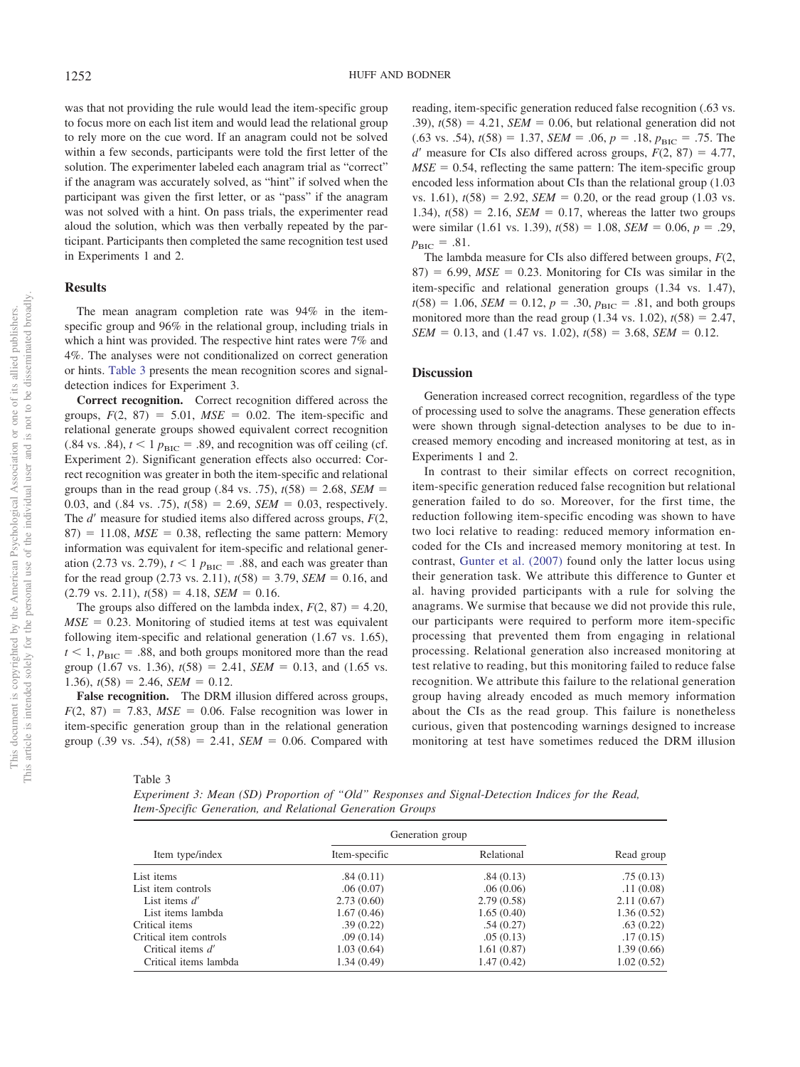was that not providing the rule would lead the item-specific group to focus more on each list item and would lead the relational group to rely more on the cue word. If an anagram could not be solved within a few seconds, participants were told the first letter of the solution. The experimenter labeled each anagram trial as "correct" if the anagram was accurately solved, as "hint" if solved when the participant was given the first letter, or as "pass" if the anagram was not solved with a hint. On pass trials, the experimenter read aloud the solution, which was then verbally repeated by the participant. Participants then completed the same recognition test used in Experiments 1 and 2.

# **Results**

The mean anagram completion rate was 94% in the itemspecific group and 96% in the relational group, including trials in which a hint was provided. The respective hint rates were 7% and 4%. The analyses were not conditionalized on correct generation or hints. [Table 3](#page-6-0) presents the mean recognition scores and signaldetection indices for Experiment 3.

**Correct recognition.** Correct recognition differed across the groups,  $F(2, 87) = 5.01$ ,  $MSE = 0.02$ . The item-specific and relational generate groups showed equivalent correct recognition  $(.84 \text{ vs. } .84)$ ,  $t < 1 p_{\text{BIC}} = .89$ , and recognition was off ceiling (cf. Experiment 2). Significant generation effects also occurred: Correct recognition was greater in both the item-specific and relational groups than in the read group (.84 vs. .75),  $t(58) = 2.68$ , *SEM* = 0.03, and  $(.84 \text{ vs. } .75)$ ,  $t(58) = 2.69$ , *SEM* = 0.03, respectively. The  $d'$  measure for studied items also differed across groups,  $F(2)$ ,  $87$ ) = 11.08,  $MSE = 0.38$ , reflecting the same pattern: Memory information was equivalent for item-specific and relational generation (2.73 vs. 2.79),  $t < 1$   $p_{\text{BIC}} = .88$ , and each was greater than for the read group  $(2.73 \text{ vs. } 2.11)$ ,  $t(58) = 3.79$ , *SEM* = 0.16, and  $(2.79 \text{ vs. } 2.11), t(58) = 4.18, \text{ SEM} = 0.16.$ 

The groups also differed on the lambda index,  $F(2, 87) = 4.20$ ,  $MSE = 0.23$ . Monitoring of studied items at test was equivalent following item-specific and relational generation (1.67 vs. 1.65),  $t < 1$ ,  $p_{\text{BIC}} = .88$ , and both groups monitored more than the read group  $(1.67 \text{ vs. } 1.36)$ ,  $t(58) = 2.41$ ,  $SEM = 0.13$ , and  $(1.65 \text{ vs. } 1.36)$  $1.36$ ,  $t(58) = 2.46$ , *SEM* = 0.12.

**False recognition.** The DRM illusion differed across groups,  $F(2, 87) = 7.83$ ,  $MSE = 0.06$ . False recognition was lower in item-specific generation group than in the relational generation group (.39 vs. .54),  $t(58) = 2.41$ ,  $SEM = 0.06$ . Compared with reading, item-specific generation reduced false recognition (.63 vs.  $(0.39)$ ,  $t(58) = 4.21$ , *SEM* = 0.06, but relational generation did not  $(.63 \text{ vs. } .54)$ ,  $t(58) = 1.37$ ,  $SEM = .06$ ,  $p = .18$ ,  $p_{BIC} = .75$ . The  $d'$  measure for CIs also differed across groups,  $F(2, 87) = 4.77$ ,  $MSE = 0.54$ , reflecting the same pattern: The item-specific group encoded less information about CIs than the relational group (1.03  $vs. 1.61$ ,  $t(58) = 2.92$ , *SEM* = 0.20, or the read group (1.03 vs. 1.34),  $t(58) = 2.16$ , *SEM* = 0.17, whereas the latter two groups were similar (1.61 vs. 1.39),  $t(58) = 1.08$ ,  $SEM = 0.06$ ,  $p = .29$ ,  $p_{\text{BIC}} = .81.$ 

The lambda measure for CIs also differed between groups, *F*(2,  $87$ ) = 6.99,  $MSE = 0.23$ . Monitoring for CIs was similar in the item-specific and relational generation groups (1.34 vs. 1.47),  $t(58) = 1.06$ , *SEM* = 0.12,  $p = .30$ ,  $p_{BIC} = .81$ , and both groups monitored more than the read group  $(1.34 \text{ vs. } 1.02)$ ,  $t(58) = 2.47$ ,  $SEM = 0.13$ , and (1.47 vs. 1.02),  $t(58) = 3.68$ , *SEM* = 0.12.

#### **Discussion**

Generation increased correct recognition, regardless of the type of processing used to solve the anagrams. These generation effects were shown through signal-detection analyses to be due to increased memory encoding and increased monitoring at test, as in Experiments 1 and 2.

In contrast to their similar effects on correct recognition, item-specific generation reduced false recognition but relational generation failed to do so. Moreover, for the first time, the reduction following item-specific encoding was shown to have two loci relative to reading: reduced memory information encoded for the CIs and increased memory monitoring at test. In contrast, [Gunter et al. \(2007\)](#page-9-16) found only the latter locus using their generation task. We attribute this difference to Gunter et al. having provided participants with a rule for solving the anagrams. We surmise that because we did not provide this rule, our participants were required to perform more item-specific processing that prevented them from engaging in relational processing. Relational generation also increased monitoring at test relative to reading, but this monitoring failed to reduce false recognition. We attribute this failure to the relational generation group having already encoded as much memory information about the CIs as the read group. This failure is nonetheless curious, given that postencoding warnings designed to increase monitoring at test have sometimes reduced the DRM illusion

#### <span id="page-6-0"></span>Table 3

*Experiment 3: Mean (SD) Proportion of "Old" Responses and Signal-Detection Indices for the Read, Item-Specific Generation, and Relational Generation Groups*

| Item type/index        | Generation group |            |            |
|------------------------|------------------|------------|------------|
|                        | Item-specific    | Relational | Read group |
| List items             | .84(0.11)        | .84(0.13)  | .75(0.13)  |
| List item controls     | .06(0.07)        | .06(0.06)  | .11(0.08)  |
| List items $d'$        | 2.73(0.60)       | 2.79(0.58) | 2.11(0.67) |
| List items lambda      | 1.67(0.46)       | 1.65(0.40) | 1.36(0.52) |
| Critical items         | .39(0.22)        | .54(0.27)  | .63(0.22)  |
| Critical item controls | .09(0.14)        | .05(0.13)  | .17(0.15)  |
| Critical items d'      | 1.03(0.64)       | 1.61(0.87) | 1.39(0.66) |
| Critical items lambda  | 1.34(0.49)       | 1.47(0.42) | 1.02(0.52) |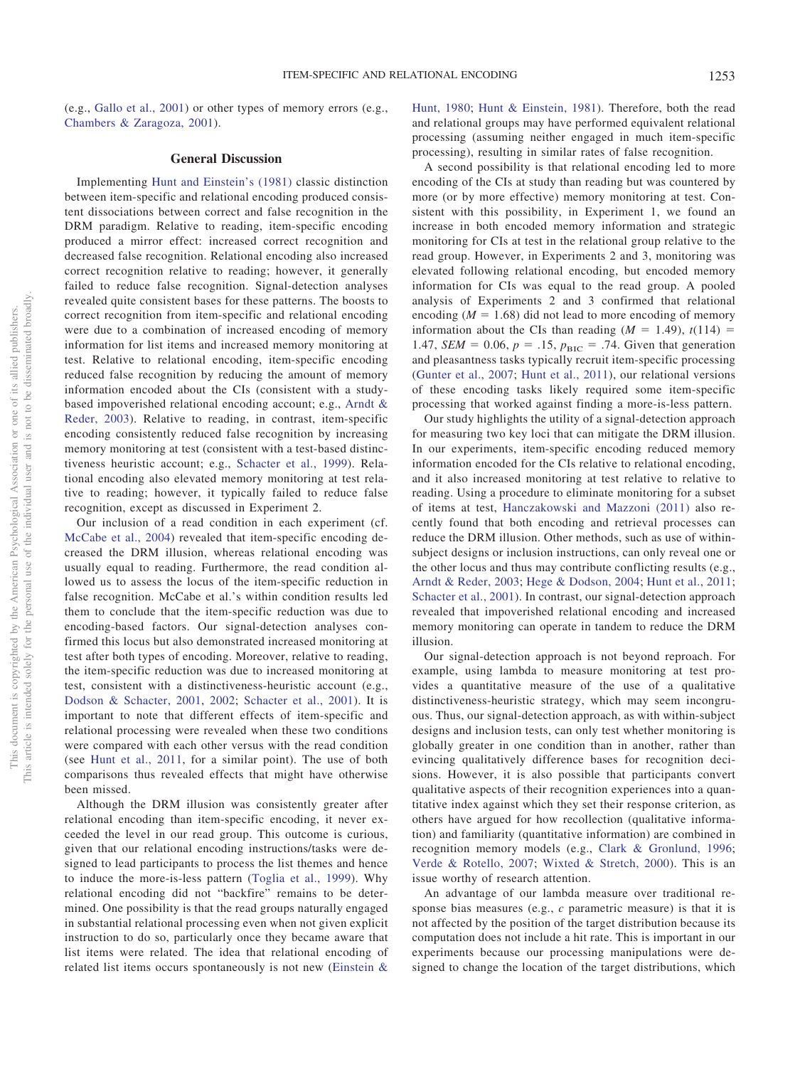(e.g., [Gallo et al., 2001\)](#page-9-2) or other types of memory errors (e.g., [Chambers & Zaragoza, 2001\)](#page-8-9).

# **General Discussion**

Implementing [Hunt and Einstein's \(1981\)](#page-9-21) classic distinction between item-specific and relational encoding produced consistent dissociations between correct and false recognition in the DRM paradigm. Relative to reading, item-specific encoding produced a mirror effect: increased correct recognition and decreased false recognition. Relational encoding also increased correct recognition relative to reading; however, it generally failed to reduce false recognition. Signal-detection analyses revealed quite consistent bases for these patterns. The boosts to correct recognition from item-specific and relational encoding were due to a combination of increased encoding of memory information for list items and increased memory monitoring at test. Relative to relational encoding, item-specific encoding reduced false recognition by reducing the amount of memory information encoded about the CIs (consistent with a studybased impoverished relational encoding account; e.g., [Arndt &](#page-8-7) [Reder, 2003\)](#page-8-7). Relative to reading, in contrast, item-specific encoding consistently reduced false recognition by increasing memory monitoring at test (consistent with a test-based distinctiveness heuristic account; e.g., [Schacter et al., 1999\)](#page-9-14). Relational encoding also elevated memory monitoring at test relative to reading; however, it typically failed to reduce false recognition, except as discussed in Experiment 2.

Our inclusion of a read condition in each experiment (cf. [McCabe et al., 2004\)](#page-9-20) revealed that item-specific encoding decreased the DRM illusion, whereas relational encoding was usually equal to reading. Furthermore, the read condition allowed us to assess the locus of the item-specific reduction in false recognition. McCabe et al.'s within condition results led them to conclude that the item-specific reduction was due to encoding-based factors. Our signal-detection analyses confirmed this locus but also demonstrated increased monitoring at test after both types of encoding. Moreover, relative to reading, the item-specific reduction was due to increased monitoring at test, consistent with a distinctiveness-heuristic account (e.g., [Dodson & Schacter, 2001,](#page-8-4) [2002;](#page-8-5) [Schacter et al., 2001\)](#page-9-13). It is important to note that different effects of item-specific and relational processing were revealed when these two conditions were compared with each other versus with the read condition (see [Hunt et al., 2011,](#page-9-23) for a similar point). The use of both comparisons thus revealed effects that might have otherwise been missed.

Although the DRM illusion was consistently greater after relational encoding than item-specific encoding, it never exceeded the level in our read group. This outcome is curious, given that our relational encoding instructions/tasks were designed to lead participants to process the list themes and hence to induce the more-is-less pattern [\(Toglia et al., 1999\)](#page-9-30). Why relational encoding did not "backfire" remains to be determined. One possibility is that the read groups naturally engaged in substantial relational processing even when not given explicit instruction to do so, particularly once they became aware that list items were related. The idea that relational encoding of related list items occurs spontaneously is not new [\(Einstein &](#page-8-8)

[Hunt, 1980;](#page-8-8) [Hunt & Einstein, 1981\)](#page-9-21). Therefore, both the read and relational groups may have performed equivalent relational processing (assuming neither engaged in much item-specific processing), resulting in similar rates of false recognition.

A second possibility is that relational encoding led to more encoding of the CIs at study than reading but was countered by more (or by more effective) memory monitoring at test. Consistent with this possibility, in Experiment 1, we found an increase in both encoded memory information and strategic monitoring for CIs at test in the relational group relative to the read group. However, in Experiments 2 and 3, monitoring was elevated following relational encoding, but encoded memory information for CIs was equal to the read group. A pooled analysis of Experiments 2 and 3 confirmed that relational encoding  $(M = 1.68)$  did not lead to more encoding of memory information about the CIs than reading  $(M = 1.49)$ ,  $t(114) =$ 1.47, *SEM* = 0.06,  $p = .15$ ,  $p_{\text{BIC}} = .74$ . Given that generation and pleasantness tasks typically recruit item-specific processing [\(Gunter et al., 2007;](#page-9-16) [Hunt et al., 2011\)](#page-9-23), our relational versions of these encoding tasks likely required some item-specific processing that worked against finding a more-is-less pattern.

Our study highlights the utility of a signal-detection approach for measuring two key loci that can mitigate the DRM illusion. In our experiments, item-specific encoding reduced memory information encoded for the CIs relative to relational encoding, and it also increased monitoring at test relative to relative to reading. Using a procedure to eliminate monitoring for a subset of items at test, [Hanczakowski and Mazzoni \(2011\)](#page-9-33) also recently found that both encoding and retrieval processes can reduce the DRM illusion. Other methods, such as use of withinsubject designs or inclusion instructions, can only reveal one or the other locus and thus may contribute conflicting results (e.g., [Arndt & Reder, 2003;](#page-8-7) [Hege & Dodson, 2004;](#page-9-18) [Hunt et al., 2011;](#page-9-23) [Schacter et al., 2001\)](#page-9-13). In contrast, our signal-detection approach revealed that impoverished relational encoding and increased memory monitoring can operate in tandem to reduce the DRM illusion.

Our signal-detection approach is not beyond reproach. For example, using lambda to measure monitoring at test provides a quantitative measure of the use of a qualitative distinctiveness-heuristic strategy, which may seem incongruous. Thus, our signal-detection approach, as with within-subject designs and inclusion tests, can only test whether monitoring is globally greater in one condition than in another, rather than evincing qualitatively difference bases for recognition decisions. However, it is also possible that participants convert qualitative aspects of their recognition experiences into a quantitative index against which they set their response criterion, as others have argued for how recollection (qualitative information) and familiarity (quantitative information) are combined in recognition memory models (e.g., [Clark & Gronlund, 1996;](#page-8-10) [Verde & Rotello, 2007;](#page-10-2) [Wixted & Stretch, 2000\)](#page-10-3). This is an issue worthy of research attention.

An advantage of our lambda measure over traditional response bias measures (e.g., *c* parametric measure) is that it is not affected by the position of the target distribution because its computation does not include a hit rate. This is important in our experiments because our processing manipulations were designed to change the location of the target distributions, which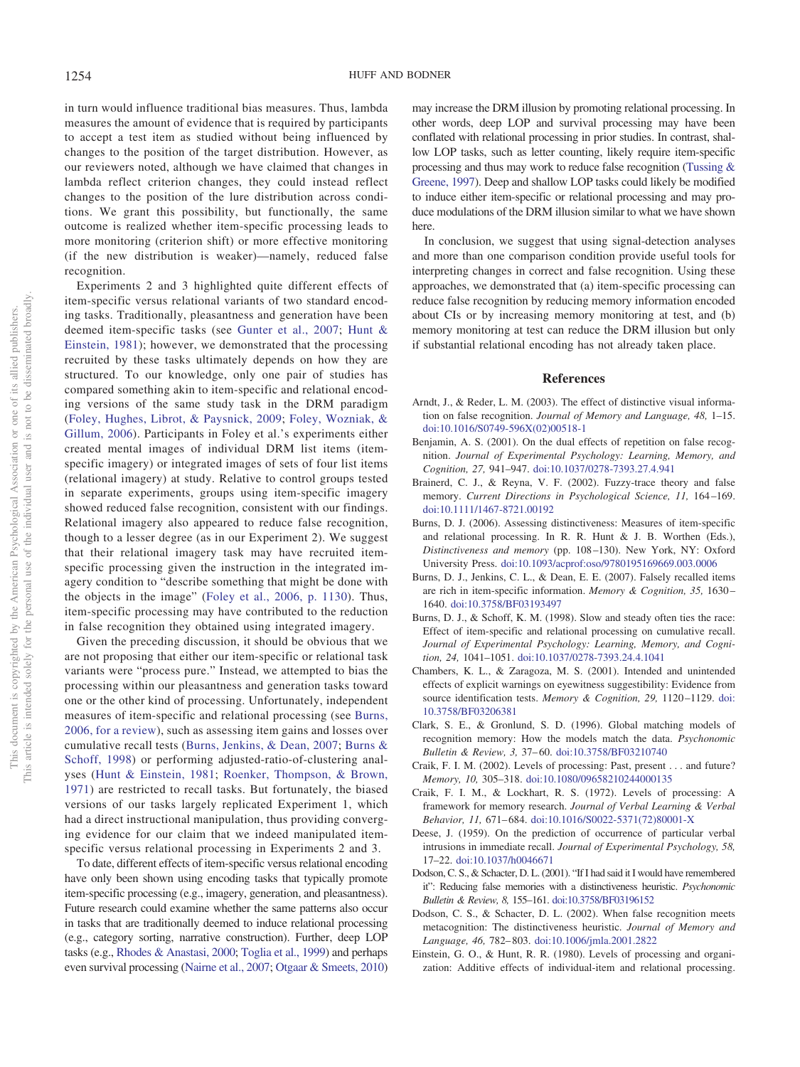in turn would influence traditional bias measures. Thus, lambda measures the amount of evidence that is required by participants to accept a test item as studied without being influenced by changes to the position of the target distribution. However, as our reviewers noted, although we have claimed that changes in lambda reflect criterion changes, they could instead reflect changes to the position of the lure distribution across conditions. We grant this possibility, but functionally, the same outcome is realized whether item-specific processing leads to more monitoring (criterion shift) or more effective monitoring (if the new distribution is weaker)—namely, reduced false recognition.

Experiments 2 and 3 highlighted quite different effects of item-specific versus relational variants of two standard encoding tasks. Traditionally, pleasantness and generation have been deemed item-specific tasks (see [Gunter et al., 2007;](#page-9-16) [Hunt &](#page-9-21) [Einstein, 1981\)](#page-9-21); however, we demonstrated that the processing recruited by these tasks ultimately depends on how they are structured. To our knowledge, only one pair of studies has compared something akin to item-specific and relational encoding versions of the same study task in the DRM paradigm [\(Foley, Hughes, Librot, & Paysnick, 2009;](#page-9-34) [Foley, Wozniak, &](#page-9-35) [Gillum, 2006\)](#page-9-35). Participants in Foley et al.'s experiments either created mental images of individual DRM list items (itemspecific imagery) or integrated images of sets of four list items (relational imagery) at study. Relative to control groups tested in separate experiments, groups using item-specific imagery showed reduced false recognition, consistent with our findings. Relational imagery also appeared to reduce false recognition, though to a lesser degree (as in our Experiment 2). We suggest that their relational imagery task may have recruited itemspecific processing given the instruction in the integrated imagery condition to "describe something that might be done with the objects in the image" [\(Foley et al., 2006, p. 1130\)](#page-9-35). Thus, item-specific processing may have contributed to the reduction in false recognition they obtained using integrated imagery.

Given the preceding discussion, it should be obvious that we are not proposing that either our item-specific or relational task variants were "process pure." Instead, we attempted to bias the processing within our pleasantness and generation tasks toward one or the other kind of processing. Unfortunately, independent measures of item-specific and relational processing (see [Burns,](#page-8-11) [2006, for a review\)](#page-8-11), such as assessing item gains and losses over cumulative recall tests [\(Burns, Jenkins, & Dean, 2007;](#page-8-12) [Burns &](#page-8-13) [Schoff, 1998\)](#page-8-13) or performing adjusted-ratio-of-clustering analyses [\(Hunt & Einstein, 1981;](#page-9-21) [Roenker, Thompson, & Brown,](#page-9-36) [1971\)](#page-9-36) are restricted to recall tasks. But fortunately, the biased versions of our tasks largely replicated Experiment 1, which had a direct instructional manipulation, thus providing converging evidence for our claim that we indeed manipulated itemspecific versus relational processing in Experiments 2 and 3.

To date, different effects of item-specific versus relational encoding have only been shown using encoding tasks that typically promote item-specific processing (e.g., imagery, generation, and pleasantness). Future research could examine whether the same patterns also occur in tasks that are traditionally deemed to induce relational processing (e.g., category sorting, narrative construction). Further, deep LOP tasks (e.g., [Rhodes & Anastasi, 2000;](#page-9-37) [Toglia et al., 1999\)](#page-9-30) and perhaps even survival processing [\(Nairne et al., 2007;](#page-9-1) [Otgaar & Smeets, 2010\)](#page-9-38)

may increase the DRM illusion by promoting relational processing. In other words, deep LOP and survival processing may have been conflated with relational processing in prior studies. In contrast, shallow LOP tasks, such as letter counting, likely require item-specific processing and thus may work to reduce false recognition [\(Tussing &](#page-10-4) [Greene, 1997\)](#page-10-4). Deep and shallow LOP tasks could likely be modified to induce either item-specific or relational processing and may produce modulations of the DRM illusion similar to what we have shown here.

In conclusion, we suggest that using signal-detection analyses and more than one comparison condition provide useful tools for interpreting changes in correct and false recognition. Using these approaches, we demonstrated that (a) item-specific processing can reduce false recognition by reducing memory information encoded about CIs or by increasing memory monitoring at test, and (b) memory monitoring at test can reduce the DRM illusion but only if substantial relational encoding has not already taken place.

### **References**

- <span id="page-8-7"></span>Arndt, J., & Reder, L. M. (2003). The effect of distinctive visual information on false recognition. *Journal of Memory and Language, 48,* 1–15. [doi:10.1016/S0749-596X\(02\)00518-1](http://dx.doi.org/10.1016/S0749-596X%2802%2900518-1)
- <span id="page-8-3"></span>Benjamin, A. S. (2001). On the dual effects of repetition on false recognition. *Journal of Experimental Psychology: Learning, Memory, and Cognition, 27,* 941–947. [doi:10.1037/0278-7393.27.4.941](http://dx.doi.org/10.1037/0278-7393.27.4.941)
- <span id="page-8-6"></span>Brainerd, C. J., & Reyna, V. F. (2002). Fuzzy-trace theory and false memory. *Current Directions in Psychological Science, 11,* 164 –169. [doi:10.1111/1467-8721.00192](http://dx.doi.org/10.1111/1467-8721.00192)
- <span id="page-8-11"></span>Burns, D. J. (2006). Assessing distinctiveness: Measures of item-specific and relational processing. In R. R. Hunt & J. B. Worthen (Eds.), *Distinctiveness and memory* (pp. 108 –130). New York, NY: Oxford University Press. [doi:10.1093/acprof:oso/9780195169669.003.0006](http://dx.doi.org/10.1093/acprof:oso/9780195169669.003.0006)
- <span id="page-8-12"></span>Burns, D. J., Jenkins, C. L., & Dean, E. E. (2007). Falsely recalled items are rich in item-specific information. *Memory & Cognition, 35,* 1630 – 1640. [doi:10.3758/BF03193497](http://dx.doi.org/10.3758/BF03193497)
- <span id="page-8-13"></span>Burns, D. J., & Schoff, K. M. (1998). Slow and steady often ties the race: Effect of item-specific and relational processing on cumulative recall. *Journal of Experimental Psychology: Learning, Memory, and Cognition, 24,* 1041–1051. [doi:10.1037/0278-7393.24.4.1041](http://dx.doi.org/10.1037/0278-7393.24.4.1041)
- <span id="page-8-9"></span>Chambers, K. L., & Zaragoza, M. S. (2001). Intended and unintended effects of explicit warnings on eyewitness suggestibility: Evidence from source identification tests. Memory & Cognition, 29, 1120-1129. [doi:](http://dx.doi.org/10.3758/BF03206381) [10.3758/BF03206381](http://dx.doi.org/10.3758/BF03206381)
- <span id="page-8-10"></span>Clark, S. E., & Gronlund, S. D. (1996). Global matching models of recognition memory: How the models match the data. *Psychonomic Bulletin & Review, 3,* 37– 60. [doi:10.3758/BF03210740](http://dx.doi.org/10.3758/BF03210740)
- <span id="page-8-1"></span>Craik, F. I. M. (2002). Levels of processing: Past, present . . . and future? *Memory, 10,* 305–318. [doi:10.1080/09658210244000135](http://dx.doi.org/10.1080/09658210244000135)
- <span id="page-8-0"></span>Craik, F. I. M., & Lockhart, R. S. (1972). Levels of processing: A framework for memory research. *Journal of Verbal Learning & Verbal Behavior, 11,* 671– 684. [doi:10.1016/S0022-5371\(72\)80001-X](http://dx.doi.org/10.1016/S0022-5371%2872%2980001-X)
- <span id="page-8-2"></span>Deese, J. (1959). On the prediction of occurrence of particular verbal intrusions in immediate recall. *Journal of Experimental Psychology, 58,* 17–22. [doi:10.1037/h0046671](http://dx.doi.org/10.1037/h0046671)
- <span id="page-8-4"></span>Dodson, C. S., & Schacter, D. L. (2001). "If I had said it I would have remembered it": Reducing false memories with a distinctiveness heuristic. *Psychonomic Bulletin & Review, 8,* 155–161. [doi:10.3758/BF03196152](http://dx.doi.org/10.3758/BF03196152)
- <span id="page-8-5"></span>Dodson, C. S., & Schacter, D. L. (2002). When false recognition meets metacognition: The distinctiveness heuristic. *Journal of Memory and Language, 46,* 782– 803. [doi:10.1006/jmla.2001.2822](http://dx.doi.org/10.1006/jmla.2001.2822)
- <span id="page-8-8"></span>Einstein, G. O., & Hunt, R. R. (1980). Levels of processing and organization: Additive effects of individual-item and relational processing.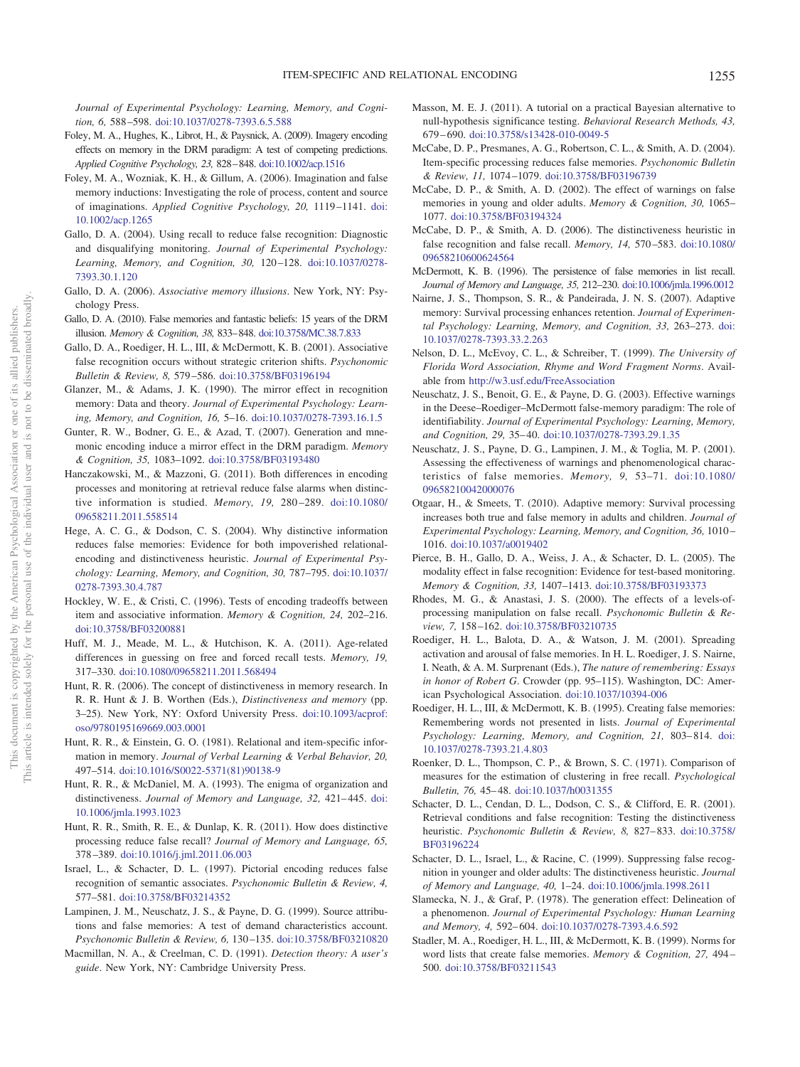<span id="page-9-30"></span>*Journal of Experimental Psychology: Learning, Memory, and Cognition, 6,* 588 –598. [doi:10.1037/0278-7393.6.5.588](http://dx.doi.org/10.1037/0278-7393.6.5.588)

- <span id="page-9-34"></span>Foley, M. A., Hughes, K., Librot, H., & Paysnick, A. (2009). Imagery encoding effects on memory in the DRM paradigm: A test of competing predictions. *Applied Cognitive Psychology, 23,* 828–848. [doi:10.1002/acp.1516](http://dx.doi.org/10.1002/acp.1516)
- <span id="page-9-35"></span>Foley, M. A., Wozniak, K. H., & Gillum, A. (2006). Imagination and false memory inductions: Investigating the role of process, content and source of imaginations. *Applied Cognitive Psychology, 20,* 1119 –1141. [doi:](http://dx.doi.org/10.1002/acp.1265) [10.1002/acp.1265](http://dx.doi.org/10.1002/acp.1265)
- <span id="page-9-15"></span>Gallo, D. A. (2004). Using recall to reduce false recognition: Diagnostic and disqualifying monitoring. *Journal of Experimental Psychology: Learning, Memory, and Cognition, 30,* 120 –128. [doi:10.1037/0278-](http://dx.doi.org/10.1037/0278-7393.30.1.120) [7393.30.1.120](http://dx.doi.org/10.1037/0278-7393.30.1.120)
- <span id="page-9-8"></span>Gallo, D. A. (2006). *Associative memory illusions*. New York, NY: Psychology Press.
- <span id="page-9-9"></span>Gallo, D. A. (2010). False memories and fantastic beliefs: 15 years of the DRM illusion. *Memory & Cognition, 38,* 833–848. [doi:10.3758/MC.38.7.833](http://dx.doi.org/10.3758/MC.38.7.833)
- <span id="page-9-2"></span>Gallo, D. A., Roediger, H. L., III, & McDermott, K. B. (2001). Associative false recognition occurs without strategic criterion shifts. *Psychonomic Bulletin & Review, 8,* 579 –586. [doi:10.3758/BF03196194](http://dx.doi.org/10.3758/BF03196194)
- <span id="page-9-25"></span>Glanzer, M., & Adams, J. K. (1990). The mirror effect in recognition memory: Data and theory. *Journal of Experimental Psychology: Learning, Memory, and Cognition, 16,* 5–16. [doi:10.1037/0278-7393.16.1.5](http://dx.doi.org/10.1037/0278-7393.16.1.5)
- <span id="page-9-16"></span>Gunter, R. W., Bodner, G. E., & Azad, T. (2007). Generation and mnemonic encoding induce a mirror effect in the DRM paradigm. *Memory & Cognition, 35,* 1083–1092. [doi:10.3758/BF03193480](http://dx.doi.org/10.3758/BF03193480)
- <span id="page-9-33"></span>Hanczakowski, M., & Mazzoni, G. (2011). Both differences in encoding processes and monitoring at retrieval reduce false alarms when distinctive information is studied. *Memory, 19,* 280 –289. [doi:10.1080/](http://dx.doi.org/10.1080/09658211.2011.558514) [09658211.2011.558514](http://dx.doi.org/10.1080/09658211.2011.558514)
- <span id="page-9-18"></span>Hege, A. C. G., & Dodson, C. S. (2004). Why distinctive information reduces false memories: Evidence for both impoverished relationalencoding and distinctiveness heuristic. *Journal of Experimental Psychology: Learning, Memory, and Cognition, 30,* 787–795. [doi:10.1037/](http://dx.doi.org/10.1037/0278-7393.30.4.787) [0278-7393.30.4.787](http://dx.doi.org/10.1037/0278-7393.30.4.787)
- <span id="page-9-19"></span>Hockley, W. E., & Cristi, C. (1996). Tests of encoding tradeoffs between item and associative information. *Memory & Cognition, 24,* 202–216. [doi:10.3758/BF03200881](http://dx.doi.org/10.3758/BF03200881)
- <span id="page-9-3"></span>Huff, M. J., Meade, M. L., & Hutchison, K. A. (2011). Age-related differences in guessing on free and forced recall tests. *Memory, 19,* 317–330. [doi:10.1080/09658211.2011.568494](http://dx.doi.org/10.1080/09658211.2011.568494)
- <span id="page-9-26"></span>Hunt, R. R. (2006). The concept of distinctiveness in memory research. In R. R. Hunt & J. B. Worthen (Eds.), *Distinctiveness and memory* (pp. 3–25). New York, NY: Oxford University Press. [doi:10.1093/acprof:](http://dx.doi.org/10.1093/acprof:oso/9780195169669.003.0001) [oso/9780195169669.003.0001](http://dx.doi.org/10.1093/acprof:oso/9780195169669.003.0001)
- <span id="page-9-21"></span>Hunt, R. R., & Einstein, G. O. (1981). Relational and item-specific information in memory. *Journal of Verbal Learning & Verbal Behavior, 20,* 497–514. [doi:10.1016/S0022-5371\(81\)90138-9](http://dx.doi.org/10.1016/S0022-5371%2881%2990138-9)
- <span id="page-9-22"></span>Hunt, R. R., & McDaniel, M. A. (1993). The enigma of organization and distinctiveness. *Journal of Memory and Language*, 32, 421-445. [doi:](http://dx.doi.org/10.1006/jmla.1993.1023) [10.1006/jmla.1993.1023](http://dx.doi.org/10.1006/jmla.1993.1023)
- <span id="page-9-23"></span>Hunt, R. R., Smith, R. E., & Dunlap, K. R. (2011). How does distinctive processing reduce false recall? *Journal of Memory and Language, 65,* 378 –389. [doi:10.1016/j.jml.2011.06.003](http://dx.doi.org/10.1016/j.jml.2011.06.003)
- <span id="page-9-5"></span>Israel, L., & Schacter, D. L. (1997). Pictorial encoding reduces false recognition of semantic associates. *Psychonomic Bulletin & Review, 4,* 577–581. [doi:10.3758/BF03214352](http://dx.doi.org/10.3758/BF03214352)
- <span id="page-9-7"></span>Lampinen, J. M., Neuschatz, J. S., & Payne, D. G. (1999). Source attributions and false memories: A test of demand characteristics account. *Psychonomic Bulletin & Review, 6,* 130 –135. [doi:10.3758/BF03210820](http://dx.doi.org/10.3758/BF03210820)
- <span id="page-9-28"></span>Macmillan, N. A., & Creelman, C. D. (1991). *Detection theory: A user's guide*. New York, NY: Cambridge University Press.
- <span id="page-9-29"></span>Masson, M. E. J. (2011). A tutorial on a practical Bayesian alternative to null-hypothesis significance testing. *Behavioral Research Methods, 43,* 679 – 690. [doi:10.3758/s13428-010-0049-5](http://dx.doi.org/10.3758/s13428-010-0049-5)
- <span id="page-9-20"></span>McCabe, D. P., Presmanes, A. G., Robertson, C. L., & Smith, A. D. (2004). Item-specific processing reduces false memories. *Psychonomic Bulletin & Review, 11,* 1074 –1079. [doi:10.3758/BF03196739](http://dx.doi.org/10.3758/BF03196739)
- <span id="page-9-4"></span>McCabe, D. P., & Smith, A. D. (2002). The effect of warnings on false memories in young and older adults. *Memory & Cognition, 30,* 1065– 1077. [doi:10.3758/BF03194324](http://dx.doi.org/10.3758/BF03194324)
- <span id="page-9-31"></span>McCabe, D. P., & Smith, A. D. (2006). The distinctiveness heuristic in false recognition and false recall. *Memory, 14,* 570 –583. [doi:10.1080/](http://dx.doi.org/10.1080/09658210600624564) [09658210600624564](http://dx.doi.org/10.1080/09658210600624564)
- <span id="page-9-10"></span>McDermott, K. B. (1996). The persistence of false memories in list recall. *Journal of Memory and Language, 35,* 212–230. [doi:10.1006/jmla.1996.0012](http://dx.doi.org/10.1006/jmla.1996.0012)
- <span id="page-9-1"></span>Nairne, J. S., Thompson, S. R., & Pandeirada, J. N. S. (2007). Adaptive memory: Survival processing enhances retention. *Journal of Experimental Psychology: Learning, Memory, and Cognition, 33,* 263–273. [doi:](http://dx.doi.org/10.1037/0278-7393.33.2.263) [10.1037/0278-7393.33.2.263](http://dx.doi.org/10.1037/0278-7393.33.2.263)
- <span id="page-9-32"></span>Nelson, D. L., McEvoy, C. L., & Schreiber, T. (1999). *The University of Florida Word Association, Rhyme and Word Fragment Norms*. Available from <http://w3.usf.edu/FreeAssociation>
- <span id="page-9-11"></span>Neuschatz, J. S., Benoit, G. E., & Payne, D. G. (2003). Effective warnings in the Deese–Roediger–McDermott false-memory paradigm: The role of identifiability. *Journal of Experimental Psychology: Learning, Memory, and Cognition, 29,* 35– 40. [doi:10.1037/0278-7393.29.1.35](http://dx.doi.org/10.1037/0278-7393.29.1.35)
- <span id="page-9-12"></span>Neuschatz, J. S., Payne, D. G., Lampinen, J. M., & Toglia, M. P. (2001). Assessing the effectiveness of warnings and phenomenological characteristics of false memories. *Memory, 9,* 53–71. [doi:10.1080/](http://dx.doi.org/10.1080/09658210042000076) [09658210042000076](http://dx.doi.org/10.1080/09658210042000076)
- <span id="page-9-38"></span>Otgaar, H., & Smeets, T. (2010). Adaptive memory: Survival processing increases both true and false memory in adults and children. *Journal of Experimental Psychology: Learning, Memory, and Cognition, 36,* 1010 – 1016. [doi:10.1037/a0019402](http://dx.doi.org/10.1037/a0019402)
- <span id="page-9-24"></span>Pierce, B. H., Gallo, D. A., Weiss, J. A., & Schacter, D. L. (2005). The modality effect in false recognition: Evidence for test-based monitoring. *Memory & Cognition, 33,* 1407–1413. [doi:10.3758/BF03193373](http://dx.doi.org/10.3758/BF03193373)
- <span id="page-9-37"></span>Rhodes, M. G., & Anastasi, J. S. (2000). The effects of a levels-ofprocessing manipulation on false recall. *Psychonomic Bulletin & Review, 7,* 158 –162. [doi:10.3758/BF03210735](http://dx.doi.org/10.3758/BF03210735)
- <span id="page-9-17"></span>Roediger, H. L., Balota, D. A., & Watson, J. M. (2001). Spreading activation and arousal of false memories. In H. L. Roediger, J. S. Nairne, I. Neath, & A. M. Surprenant (Eds.), *The nature of remembering: Essays in honor of Robert G*. Crowder (pp. 95–115). Washington, DC: American Psychological Association. [doi:10.1037/10394-006](http://dx.doi.org/10.1037/10394-006)
- <span id="page-9-6"></span>Roediger, H. L., III, & McDermott, K. B. (1995). Creating false memories: Remembering words not presented in lists. *Journal of Experimental* Psychology: Learning, Memory, and Cognition, 21, 803-814. [doi:](http://dx.doi.org/10.1037/0278-7393.21.4.803) [10.1037/0278-7393.21.4.803](http://dx.doi.org/10.1037/0278-7393.21.4.803)
- <span id="page-9-36"></span>Roenker, D. L., Thompson, C. P., & Brown, S. C. (1971). Comparison of measures for the estimation of clustering in free recall. *Psychological Bulletin, 76,* 45– 48. [doi:10.1037/h0031355](http://dx.doi.org/10.1037/h0031355)
- <span id="page-9-13"></span>Schacter, D. L., Cendan, D. L., Dodson, C. S., & Clifford, E. R. (2001). Retrieval conditions and false recognition: Testing the distinctiveness heuristic. *Psychonomic Bulletin & Review, 8,* 827– 833. [doi:10.3758/](http://dx.doi.org/10.3758/BF03196224) [BF03196224](http://dx.doi.org/10.3758/BF03196224)
- <span id="page-9-14"></span>Schacter, D. L., Israel, L., & Racine, C. (1999). Suppressing false recognition in younger and older adults: The distinctiveness heuristic. *Journal of Memory and Language, 40,* 1–24. [doi:10.1006/jmla.1998.2611](http://dx.doi.org/10.1006/jmla.1998.2611)
- <span id="page-9-0"></span>Slamecka, N. J., & Graf, P. (1978). The generation effect: Delineation of a phenomenon. *Journal of Experimental Psychology: Human Learning and Memory, 4,* 592– 604. [doi:10.1037/0278-7393.4.6.592](http://dx.doi.org/10.1037/0278-7393.4.6.592)
- <span id="page-9-27"></span>Stadler, M. A., Roediger, H. L., III, & McDermott, K. B. (1999). Norms for word lists that create false memories. *Memory & Cognition, 27,* 494 – 500. [doi:10.3758/BF03211543](http://dx.doi.org/10.3758/BF03211543)